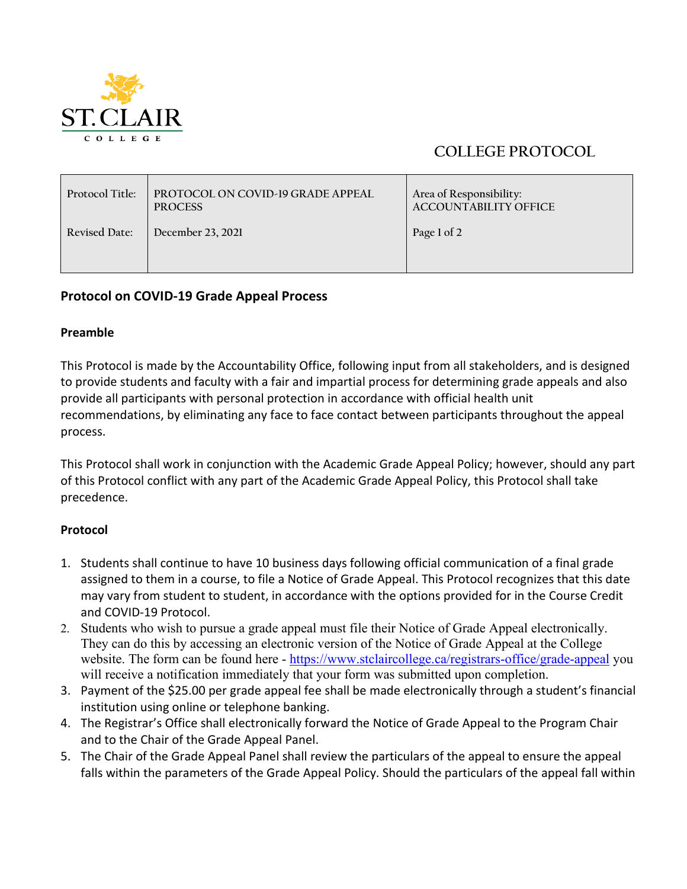

## **COLLEGE PROTOCOL**

| Protocol Title: | <b>PROTOCOL ON COVID-19 GRADE APPEAL</b><br><b>PROCESS</b> | Area of Responsibility:<br><b>ACCOUNTABILITY OFFICE</b> |
|-----------------|------------------------------------------------------------|---------------------------------------------------------|
| Revised Date:   | December 23, 2021                                          | Page 1 of 2                                             |

## **Protocol on COVID-19 Grade Appeal Process**

## **Preamble**

This Protocol is made by the Accountability Office, following input from all stakeholders, and is designed to provide students and faculty with a fair and impartial process for determining grade appeals and also provide all participants with personal protection in accordance with official health unit recommendations, by eliminating any face to face contact between participants throughout the appeal process.

This Protocol shall work in conjunction with the Academic Grade Appeal Policy; however, should any part of this Protocol conflict with any part of the Academic Grade Appeal Policy, this Protocol shall take precedence.

## **Protocol**

- 1. Students shall continue to have 10 business days following official communication of a final grade assigned to them in a course, to file a Notice of Grade Appeal. This Protocol recognizes that this date may vary from student to student, in accordance with the options provided for in the Course Credit and COVID-19 Protocol.
- 2. Students who wish to pursue a grade appeal must file their Notice of Grade Appeal electronically. They can do this by accessing an electronic version of the Notice of Grade Appeal at the College website. The form can be found here - [https://www.stclaircollege.ca/registrars-office/grade-appeal](https://can01.safelinks.protection.outlook.com/?url=https%3A%2F%2Fwww.stclaircollege.ca%2Fregistrars-office%2Fgrade-appeal&data=04%7C01%7Cmdeschutter%40stclaircollege.ca%7C601b76d386954a23692008d9c62e0d28%7Cc986676f9b394d08b4f8a668e0e8c6a5%7C0%7C0%7C637758723700037036%7CUnknown%7CTWFpbGZsb3d8eyJWIjoiMC4wLjAwMDAiLCJQIjoiV2luMzIiLCJBTiI6Ik1haWwiLCJXVCI6Mn0%3D%7C3000&sdata=5hdY9eNX%2FX0smIcCnSP8jlbj5P8cmP7zPkNA5ExjMew%3D&reserved=0) you will receive a notification immediately that your form was submitted upon completion.
- 3. Payment of the \$25.00 per grade appeal fee shall be made electronically through a student's financial institution using online or telephone banking.
- 4. The Registrar's Office shall electronically forward the Notice of Grade Appeal to the Program Chair and to the Chair of the Grade Appeal Panel.
- 5. The Chair of the Grade Appeal Panel shall review the particulars of the appeal to ensure the appeal falls within the parameters of the Grade Appeal Policy. Should the particulars of the appeal fall within